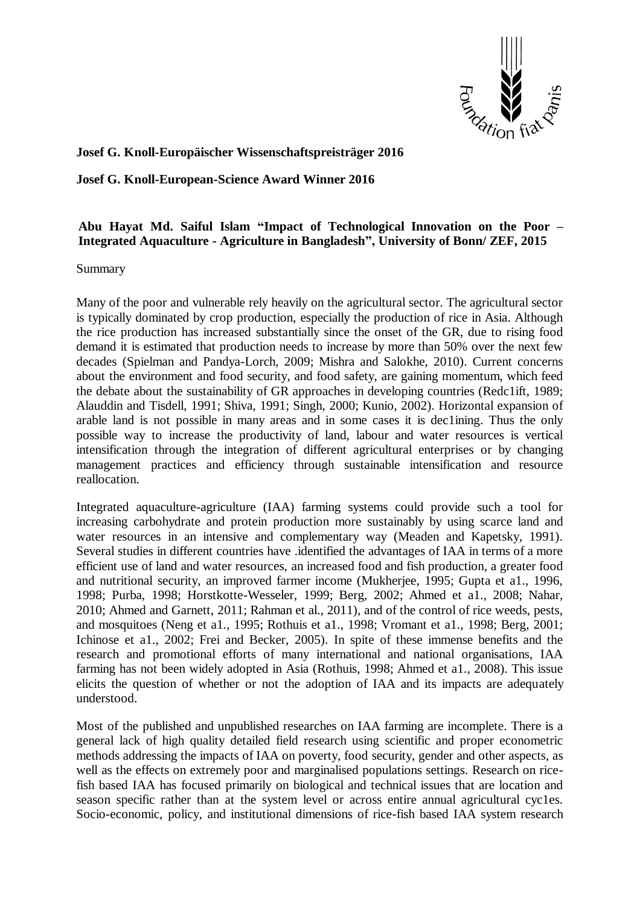

## **Josef G. Knoll-Europäischer Wissenschaftspreisträger 2016**

**Josef G. Knoll-European-Science Award Winner 2016**

## **Abu Hayat Md. Saiful Islam "Impact of Technological Innovation on the Poor – Integrated Aquaculture - Agriculture in Bangladesh", University of Bonn/ ZEF, 2015**

Summary

Many of the poor and vulnerable rely heavily on the agricultural sector. The agricultural sector is typically dominated by crop production, especially the production of rice in Asia. Although the rice production has increased substantially since the onset of the GR, due to rising food demand it is estimated that production needs to increase by more than 50% over the next few decades (Spielman and Pandya-Lorch, 2009; Mishra and Salokhe, 2010). Current concerns about the environment and food security, and food safety, are gaining momentum, which feed the debate about the sustainability of GR approaches in developing countries (Redc1ift, 1989; Alauddin and Tisdell, 1991; Shiva, 1991; Singh, 2000; Kunio, 2002). Horizontal expansion of arable land is not possible in many areas and in some cases it is dec1ining. Thus the only possible way to increase the productivity of land, labour and water resources is vertical intensification through the integration of different agricultural enterprises or by changing management practices and efficiency through sustainable intensification and resource reallocation.

Integrated aquaculture-agriculture (IAA) farming systems could provide such a tool for increasing carbohydrate and protein production more sustainably by using scarce land and water resources in an intensive and complementary way (Meaden and Kapetsky, 1991). Several studies in different countries have .identified the advantages of IAA in terms of a more efficient use of land and water resources, an increased food and fish production, a greater food and nutritional security, an improved farmer income (Mukherjee, 1995; Gupta et a1., 1996, 1998; Purba, 1998; Horstkotte-Wesseler, 1999; Berg, 2002; Ahmed et a1., 2008; Nahar, 2010; Ahmed and Garnett, 2011; Rahman et al., 2011), and of the control of rice weeds, pests, and mosquitoes (Neng et a1., 1995; Rothuis et a1., 1998; Vromant et a1., 1998; Berg, 2001; Ichinose et a1., 2002; Frei and Becker, 2005). In spite of these immense benefits and the research and promotional efforts of many international and national organisations, IAA farming has not been widely adopted in Asia (Rothuis, 1998; Ahmed et a1., 2008). This issue elicits the question of whether or not the adoption of IAA and its impacts are adequately understood.

Most of the published and unpublished researches on IAA farming are incomplete. There is a general lack of high quality detailed field research using scientific and proper econometric methods addressing the impacts of IAA on poverty, food security, gender and other aspects, as well as the effects on extremely poor and marginalised populations settings. Research on ricefish based IAA has focused primarily on biological and technical issues that are location and season specific rather than at the system level or across entire annual agricultural cycles. Socio-economic, policy, and institutional dimensions of rice-fish based IAA system research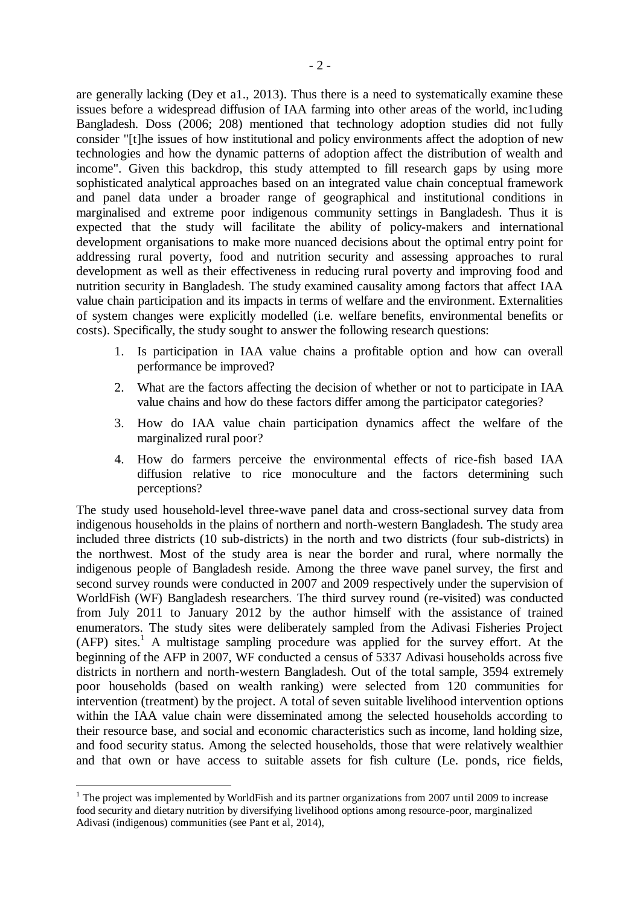are generally lacking (Dey et a1., 2013). Thus there is a need to systematically examine these issues before a widespread diffusion of IAA farming into other areas of the world, inc1uding Bangladesh. Doss (2006; 208) mentioned that technology adoption studies did not fully consider "[t]he issues of how institutional and policy environments affect the adoption of new technologies and how the dynamic patterns of adoption affect the distribution of wealth and income". Given this backdrop, this study attempted to fill research gaps by using more sophisticated analytical approaches based on an integrated value chain conceptual framework and panel data under a broader range of geographical and institutional conditions in marginalised and extreme poor indigenous community settings in Bangladesh. Thus it is expected that the study will facilitate the ability of policy-makers and international development organisations to make more nuanced decisions about the optimal entry point for addressing rural poverty, food and nutrition security and assessing approaches to rural development as well as their effectiveness in reducing rural poverty and improving food and nutrition security in Bangladesh. The study examined causality among factors that affect IAA value chain participation and its impacts in terms of welfare and the environment. Externalities of system changes were explicitly modelled (i.e. welfare benefits, environmental benefits or costs). Specifically, the study sought to answer the following research questions:

- 1. Is participation in IAA value chains a profitable option and how can overall performance be improved?
- 2. What are the factors affecting the decision of whether or not to participate in IAA value chains and how do these factors differ among the participator categories?
- 3. How do IAA value chain participation dynamics affect the welfare of the marginalized rural poor?
- 4. How do farmers perceive the environmental effects of rice-fish based IAA diffusion relative to rice monoculture and the factors determining such perceptions?

The study used household-level three-wave panel data and cross-sectional survey data from indigenous households in the plains of northern and north-western Bangladesh. The study area included three districts (10 sub-districts) in the north and two districts (four sub-districts) in the northwest. Most of the study area is near the border and rural, where normally the indigenous people of Bangladesh reside. Among the three wave panel survey, the first and second survey rounds were conducted in 2007 and 2009 respectively under the supervision of WorldFish (WF) Bangladesh researchers. The third survey round (re-visited) was conducted from July 2011 to January 2012 by the author himself with the assistance of trained enumerators. The study sites were deliberately sampled from the Adivasi Fisheries Project  $(AFP)$  sites.<sup>1</sup> A multistage sampling procedure was applied for the survey effort. At the beginning of the AFP in 2007, WF conducted a census of 5337 Adivasi households across five districts in northern and north-western Bangladesh. Out of the total sample, 3594 extremely poor households (based on wealth ranking) were selected from 120 communities for intervention (treatment) by the project. A total of seven suitable livelihood intervention options within the IAA value chain were disseminated among the selected households according to their resource base, and social and economic characteristics such as income, land holding size, and food security status. Among the selected households, those that were relatively wealthier and that own or have access to suitable assets for fish culture (Le. ponds, rice fields,

 $\overline{a}$ 

 $1$  The project was implemented by WorldFish and its partner organizations from 2007 until 2009 to increase food security and dietary nutrition by diversifying livelihood options among resource-poor, marginalized Adivasi (indigenous) communities (see Pant et al, 2014),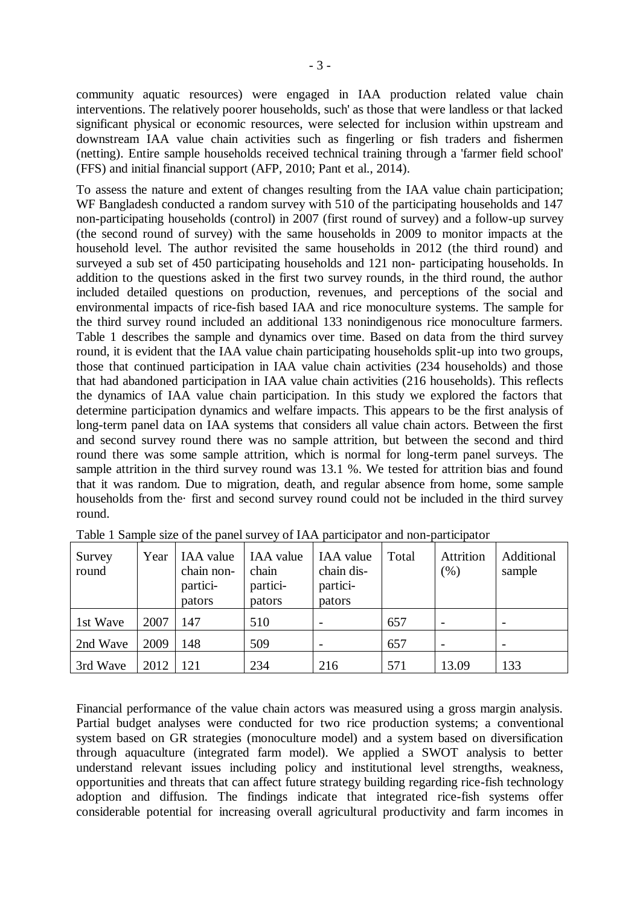community aquatic resources) were engaged in IAA production related value chain interventions. The relatively poorer households, such' as those that were landless or that lacked significant physical or economic resources, were selected for inclusion within upstream and downstream IAA value chain activities such as fingerling or fish traders and fishermen (netting). Entire sample households received technical training through a 'farmer field school' (FFS) and initial financial support (AFP, 2010; Pant et al., 2014).

To assess the nature and extent of changes resulting from the IAA value chain participation; WF Bangladesh conducted a random survey with 510 of the participating households and 147 non-participating households (control) in 2007 (first round of survey) and a follow-up survey (the second round of survey) with the same households in 2009 to monitor impacts at the household level. The author revisited the same households in 2012 (the third round) and surveyed a sub set of 450 participating households and 121 non- participating households. In addition to the questions asked in the first two survey rounds, in the third round, the author included detailed questions on production, revenues, and perceptions of the social and environmental impacts of rice-fish based IAA and rice monoculture systems. The sample for the third survey round included an additional 133 nonindigenous rice monoculture farmers. Table 1 describes the sample and dynamics over time. Based on data from the third survey round, it is evident that the IAA value chain participating households split-up into two groups, those that continued participation in IAA value chain activities (234 households) and those that had abandoned participation in IAA value chain activities (216 households). This reflects the dynamics of IAA value chain participation. In this study we explored the factors that determine participation dynamics and welfare impacts. This appears to be the first analysis of long-term panel data on IAA systems that considers all value chain actors. Between the first and second survey round there was no sample attrition, but between the second and third round there was some sample attrition, which is normal for long-term panel surveys. The sample attrition in the third survey round was 13.1 %. We tested for attrition bias and found that it was random. Due to migration, death, and regular absence from home, some sample households from the· first and second survey round could not be included in the third survey round.

| Survey<br>round | Year | IAA value<br>chain non-<br>partici-<br>pators | IAA value<br>chain<br>partici-<br>pators | IAA value<br>chain dis-<br>partici-<br>pators | Total | Attrition<br>(% ) | Additional<br>sample |
|-----------------|------|-----------------------------------------------|------------------------------------------|-----------------------------------------------|-------|-------------------|----------------------|
| 1st Wave        | 2007 | $\sqrt{47}$                                   | 510                                      |                                               | 657   |                   |                      |
| 2nd Wave        | 2009 | 148                                           | 509                                      |                                               | 657   |                   |                      |
| 3rd Wave        | 2012 | 121                                           | 234                                      | 216                                           | 571   | 13.09             | 133                  |

Table 1 Sample size of the panel survey of IAA participator and non-participator

Financial performance of the value chain actors was measured using a gross margin analysis. Partial budget analyses were conducted for two rice production systems; a conventional system based on GR strategies (monoculture model) and a system based on diversification through aquaculture (integrated farm model). We applied a SWOT analysis to better understand relevant issues including policy and institutional level strengths, weakness, opportunities and threats that can affect future strategy building regarding rice-fish technology adoption and diffusion. The findings indicate that integrated rice-fish systems offer considerable potential for increasing overall agricultural productivity and farm incomes in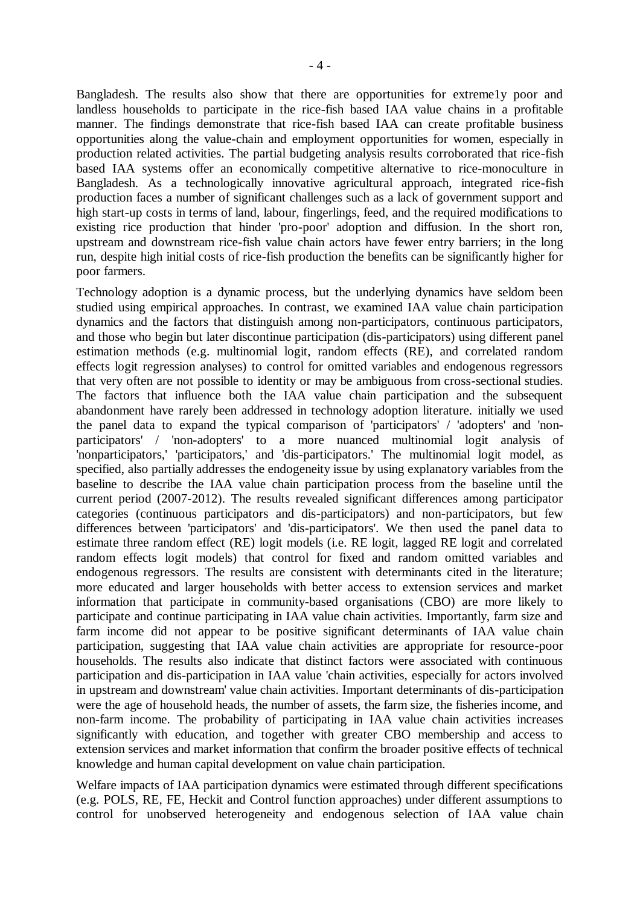Bangladesh. The results also show that there are opportunities for extreme1y poor and landless households to participate in the rice-fish based IAA value chains in a profitable manner. The findings demonstrate that rice-fish based IAA can create profitable business opportunities along the value-chain and employment opportunities for women, especially in production related activities. The partial budgeting analysis results corroborated that rice-fish based IAA systems offer an economically competitive alternative to rice-monoculture in Bangladesh. As a technologically innovative agricultural approach, integrated rice-fish production faces a number of significant challenges such as a lack of government support and high start-up costs in terms of land, labour, fingerlings, feed, and the required modifications to existing rice production that hinder 'pro-poor' adoption and diffusion. In the short ron, upstream and downstream rice-fish value chain actors have fewer entry barriers; in the long run, despite high initial costs of rice-fish production the benefits can be significantly higher for poor farmers.

Technology adoption is a dynamic process, but the underlying dynamics have seldom been studied using empirical approaches. In contrast, we examined IAA value chain participation dynamics and the factors that distinguish among non-participators, continuous participators, and those who begin but later discontinue participation (dis-participators) using different panel estimation methods (e.g. multinomial logit, random effects (RE), and correlated random effects logit regression analyses) to control for omitted variables and endogenous regressors that very often are not possible to identity or may be ambiguous from cross-sectional studies. The factors that influence both the IAA value chain participation and the subsequent abandonment have rarely been addressed in technology adoption literature. initially we used the panel data to expand the typical comparison of 'participators' / 'adopters' and 'nonparticipators' / 'non-adopters' to a more nuanced multinomial logit analysis of 'nonparticipators,' 'participators,' and 'dis-participators.' The multinomial logit model, as specified, also partially addresses the endogeneity issue by using explanatory variables from the baseline to describe the IAA value chain participation process from the baseline until the current period (2007-2012). The results revealed significant differences among participator categories (continuous participators and dis-participators) and non-participators, but few differences between 'participators' and 'dis-participators'. We then used the panel data to estimate three random effect (RE) logit models (i.e. RE logit, lagged RE logit and correlated random effects logit models) that control for fixed and random omitted variables and endogenous regressors. The results are consistent with determinants cited in the literature; more educated and larger households with better access to extension services and market information that participate in community-based organisations (CBO) are more likely to participate and continue participating in IAA value chain activities. Importantly, farm size and farm income did not appear to be positive significant determinants of IAA value chain participation, suggesting that IAA value chain activities are appropriate for resource-poor households. The results also indicate that distinct factors were associated with continuous participation and dis-participation in IAA value 'chain activities, especially for actors involved in upstream and downstream' value chain activities. Important determinants of dis-participation were the age of household heads, the number of assets, the farm size, the fisheries income, and non-farm income. The probability of participating in IAA value chain activities increases significantly with education, and together with greater CBO membership and access to extension services and market information that confirm the broader positive effects of technical knowledge and human capital development on value chain participation.

Welfare impacts of IAA participation dynamics were estimated through different specifications (e.g. POLS, RE, FE, Heckit and Control function approaches) under different assumptions to control for unobserved heterogeneity and endogenous selection of IAA value chain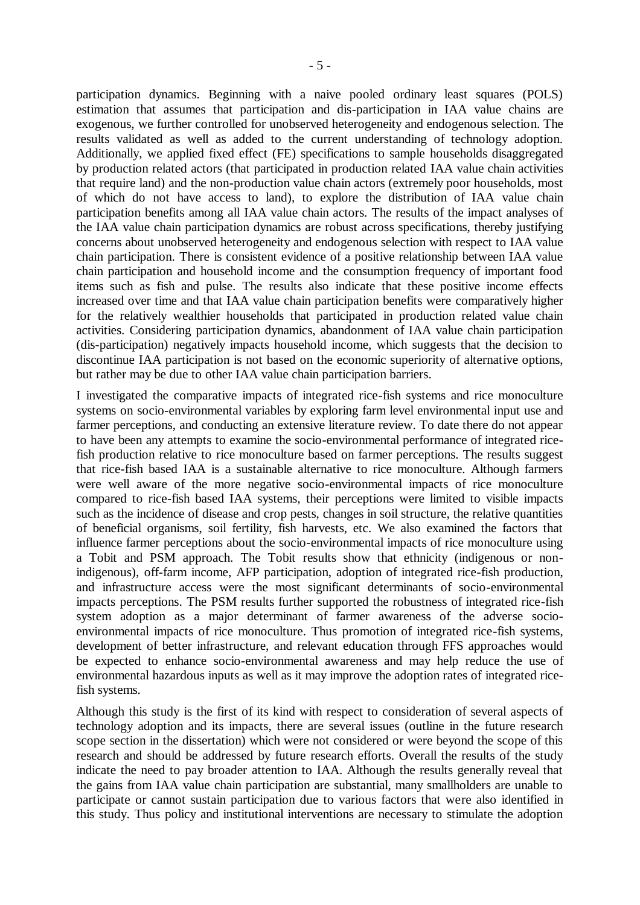participation dynamics. Beginning with a naive pooled ordinary least squares (POLS) estimation that assumes that participation and dis-participation in IAA value chains are exogenous, we further controlled for unobserved heterogeneity and endogenous selection. The results validated as well as added to the current understanding of technology adoption. Additionally, we applied fixed effect (FE) specifications to sample households disaggregated by production related actors (that participated in production related IAA value chain activities that require land) and the non-production value chain actors (extremely poor households, most of which do not have access to land), to explore the distribution of IAA value chain participation benefits among all IAA value chain actors. The results of the impact analyses of the IAA value chain participation dynamics are robust across specifications, thereby justifying concerns about unobserved heterogeneity and endogenous selection with respect to IAA value chain participation. There is consistent evidence of a positive relationship between IAA value chain participation and household income and the consumption frequency of important food items such as fish and pulse. The results also indicate that these positive income effects increased over time and that IAA value chain participation benefits were comparatively higher for the relatively wealthier households that participated in production related value chain activities. Considering participation dynamics, abandonment of IAA value chain participation (dis-participation) negatively impacts household income, which suggests that the decision to discontinue IAA participation is not based on the economic superiority of alternative options, but rather may be due to other IAA value chain participation barriers.

I investigated the comparative impacts of integrated rice-fish systems and rice monoculture systems on socio-environmental variables by exploring farm level environmental input use and farmer perceptions, and conducting an extensive literature review. To date there do not appear to have been any attempts to examine the socio-environmental performance of integrated ricefish production relative to rice monoculture based on farmer perceptions. The results suggest that rice-fish based IAA is a sustainable alternative to rice monoculture. Although farmers were well aware of the more negative socio-environmental impacts of rice monoculture compared to rice-fish based IAA systems, their perceptions were limited to visible impacts such as the incidence of disease and crop pests, changes in soil structure, the relative quantities of beneficial organisms, soil fertility, fish harvests, etc. We also examined the factors that influence farmer perceptions about the socio-environmental impacts of rice monoculture using a Tobit and PSM approach. The Tobit results show that ethnicity (indigenous or nonindigenous), off-farm income, AFP participation, adoption of integrated rice-fish production, and infrastructure access were the most significant determinants of socio-environmental impacts perceptions. The PSM results further supported the robustness of integrated rice-fish system adoption as a major determinant of farmer awareness of the adverse socioenvironmental impacts of rice monoculture. Thus promotion of integrated rice-fish systems, development of better infrastructure, and relevant education through FFS approaches would be expected to enhance socio-environmental awareness and may help reduce the use of environmental hazardous inputs as well as it may improve the adoption rates of integrated ricefish systems.

Although this study is the first of its kind with respect to consideration of several aspects of technology adoption and its impacts, there are several issues (outline in the future research scope section in the dissertation) which were not considered or were beyond the scope of this research and should be addressed by future research efforts. Overall the results of the study indicate the need to pay broader attention to IAA. Although the results generally reveal that the gains from IAA value chain participation are substantial, many smallholders are unable to participate or cannot sustain participation due to various factors that were also identified in this study. Thus policy and institutional interventions are necessary to stimulate the adoption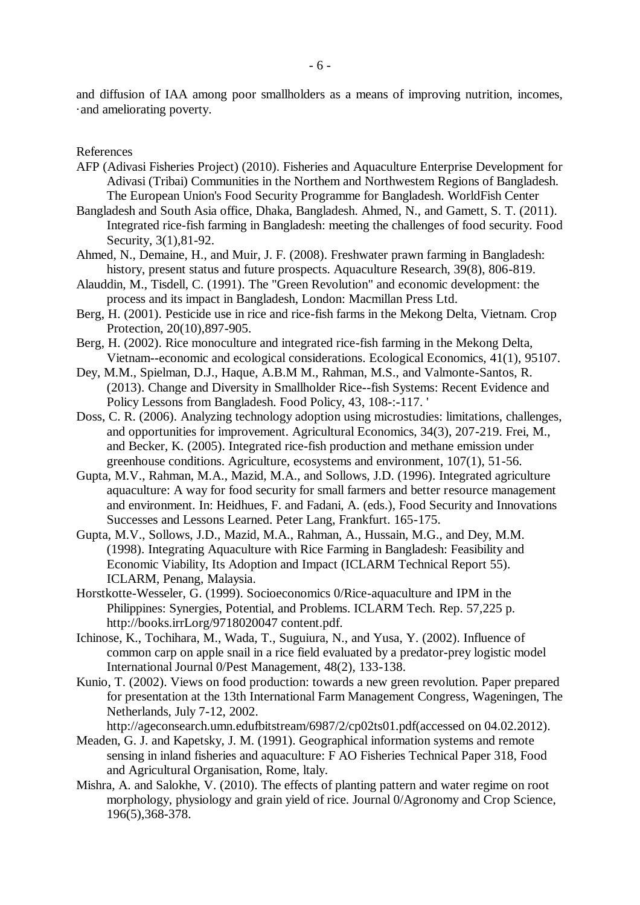and diffusion of IAA among poor smallholders as a means of improving nutrition, incomes, ·and ameliorating poverty.

References

- AFP (Adivasi Fisheries Project) (2010). Fisheries and Aquaculture Enterprise Development for Adivasi (Tribai) Communities in the Northem and Northwestem Regions of Bangladesh. The European Union's Food Security Programme for Bangladesh. WorldFish Center
- Bangladesh and South Asia office, Dhaka, Bangladesh. Ahmed, N., and Gamett, S. T. (2011). Integrated rice-fish farming in Bangladesh: meeting the challenges of food security. Food Security, 3(1),81-92.
- Ahmed, N., Demaine, H., and Muir, J. F. (2008). Freshwater prawn farming in Bangladesh: history, present status and future prospects. Aquaculture Research, 39(8), 806-819.
- Alauddin, M., Tisdell, C. (1991). The "Green Revolution" and economic development: the process and its impact in Bangladesh, London: Macmillan Press Ltd.
- Berg, H. (2001). Pesticide use in rice and rice-fish farms in the Mekong Delta, Vietnam. Crop Protection, 20(10),897-905.
- Berg, H. (2002). Rice monoculture and integrated rice-fish farming in the Mekong Delta, Vietnam--economic and ecological considerations. Ecological Economics, 41(1), 95107.
- Dey, M.M., Spielman, D.J., Haque, A.B.M M., Rahman, M.S., and Valmonte-Santos, R. (2013). Change and Diversity in Smallholder Rice--fish Systems: Recent Evidence and Policy Lessons from Bangladesh. Food Policy, 43, 108-:-117. '
- Doss, C. R. (2006). Analyzing technology adoption using microstudies: limitations, challenges, and opportunities for improvement. Agricultural Economics, 34(3), 207-219. Frei, M., and Becker, K. (2005). Integrated rice-fish production and methane emission under greenhouse conditions. Agriculture, ecosystems and environment, 107(1), 51-56.
- Gupta, M.V., Rahman, M.A., Mazid, M.A., and Sollows, J.D. (1996). Integrated agriculture aquaculture: A way for food security for small farmers and better resource management and environment. In: Heidhues, F. and Fadani, A. (eds.), Food Security and Innovations Successes and Lessons Learned. Peter Lang, Frankfurt. 165-175.
- Gupta, M.V., Sollows, J.D., Mazid, M.A., Rahman, A., Hussain, M.G., and Dey, M.M. (1998). Integrating Aquaculture with Rice Farming in Bangladesh: Feasibility and Economic Viability, Its Adoption and Impact (ICLARM Technical Report 55). ICLARM, Penang, Malaysia.
- Horstkotte-Wesseler, G. (1999). Socioeconomics 0/Rice-aquaculture and IPM in the Philippines: Synergies, Potential, and Problems. ICLARM Tech. Rep. 57,225 p. http://books.irrLorg/9718020047 content.pdf.
- Ichinose, K., Tochihara, M., Wada, T., Suguiura, N., and Yusa, Y. (2002). Influence of common carp on apple snail in a rice field evaluated by a predator-prey logistic model International Journal 0/Pest Management, 48(2), 133-138.
- Kunio, T. (2002). Views on food production: towards a new green revolution. Paper prepared for presentation at the 13th International Farm Management Congress, Wageningen, The Netherlands, July 7-12, 2002.

http://ageconsearch.umn.edufbitstream/6987/2/cp02ts01.pdf(accessed on 04.02.2012).

- Meaden, G. J. and Kapetsky, J. M. (1991). Geographical information systems and remote sensing in inland fisheries and aquaculture: F AO Fisheries Technical Paper 318, Food and Agricultural Organisation, Rome, ltaly.
- Mishra, A. and Salokhe, V. (2010). The effects of planting pattern and water regime on root morphology, physiology and grain yield of rice. Journal 0/Agronomy and Crop Science, 196(5),368-378.